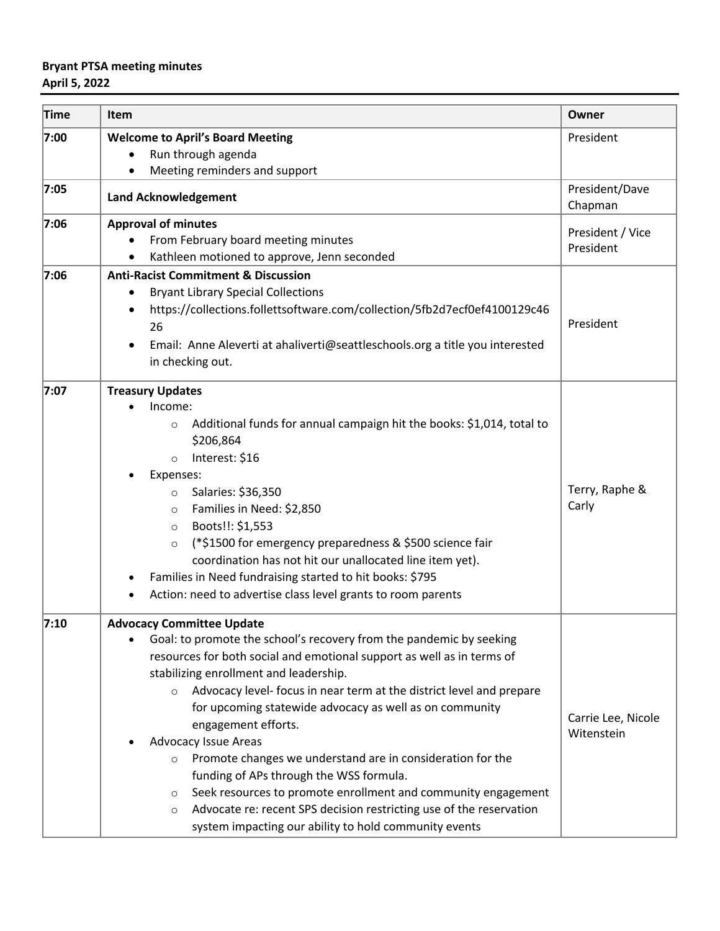## **Bryant PTSA meeting minutes April 5, 2022**

| Time | <b>Item</b>                                                                               | Owner                     |
|------|-------------------------------------------------------------------------------------------|---------------------------|
| 7:00 | <b>Welcome to April's Board Meeting</b>                                                   | President                 |
|      | Run through agenda                                                                        |                           |
|      | Meeting reminders and support                                                             |                           |
| 7:05 | <b>Land Acknowledgement</b>                                                               | President/Dave<br>Chapman |
| 7:06 | <b>Approval of minutes</b>                                                                | President / Vice          |
|      | From February board meeting minutes<br>Kathleen motioned to approve, Jenn seconded        | President                 |
| 7:06 | <b>Anti-Racist Commitment &amp; Discussion</b>                                            |                           |
|      | <b>Bryant Library Special Collections</b>                                                 |                           |
|      | https://collections.follettsoftware.com/collection/5fb2d7ecf0ef4100129c46                 |                           |
|      | 26                                                                                        | President                 |
|      |                                                                                           |                           |
|      | Email: Anne Aleverti at ahaliverti@seattleschools.org a title you interested<br>$\bullet$ |                           |
|      | in checking out.                                                                          |                           |
| 7:07 | <b>Treasury Updates</b>                                                                   |                           |
|      | Income:                                                                                   |                           |
|      | Additional funds for annual campaign hit the books: \$1,014, total to<br>$\circ$          |                           |
|      | \$206,864                                                                                 |                           |
|      | Interest: \$16<br>$\circ$                                                                 |                           |
|      | Expenses:                                                                                 |                           |
|      | Salaries: \$36,350<br>$\circ$                                                             | Terry, Raphe &            |
|      | Families in Need: \$2,850<br>$\circ$                                                      | Carly                     |
|      | Boots!!: \$1,553<br>$\circ$                                                               |                           |
|      | (*\$1500 for emergency preparedness & \$500 science fair<br>$\circ$                       |                           |
|      | coordination has not hit our unallocated line item yet).                                  |                           |
|      | Families in Need fundraising started to hit books: \$795<br>٠                             |                           |
|      | Action: need to advertise class level grants to room parents<br>$\bullet$                 |                           |
| 7:10 | <b>Advocacy Committee Update</b>                                                          |                           |
|      | Goal: to promote the school's recovery from the pandemic by seeking<br>$\bullet$          |                           |
|      | resources for both social and emotional support as well as in terms of                    |                           |
|      | stabilizing enrollment and leadership.                                                    |                           |
|      | Advocacy level- focus in near term at the district level and prepare<br>$\circ$           |                           |
|      | for upcoming statewide advocacy as well as on community                                   |                           |
|      | engagement efforts.                                                                       | Carrie Lee, Nicole        |
|      | Advocacy Issue Areas                                                                      | Witenstein                |
|      | Promote changes we understand are in consideration for the<br>$\circ$                     |                           |
|      | funding of APs through the WSS formula.                                                   |                           |
|      | Seek resources to promote enrollment and community engagement<br>O                        |                           |
|      | Advocate re: recent SPS decision restricting use of the reservation<br>$\circ$            |                           |
|      | system impacting our ability to hold community events                                     |                           |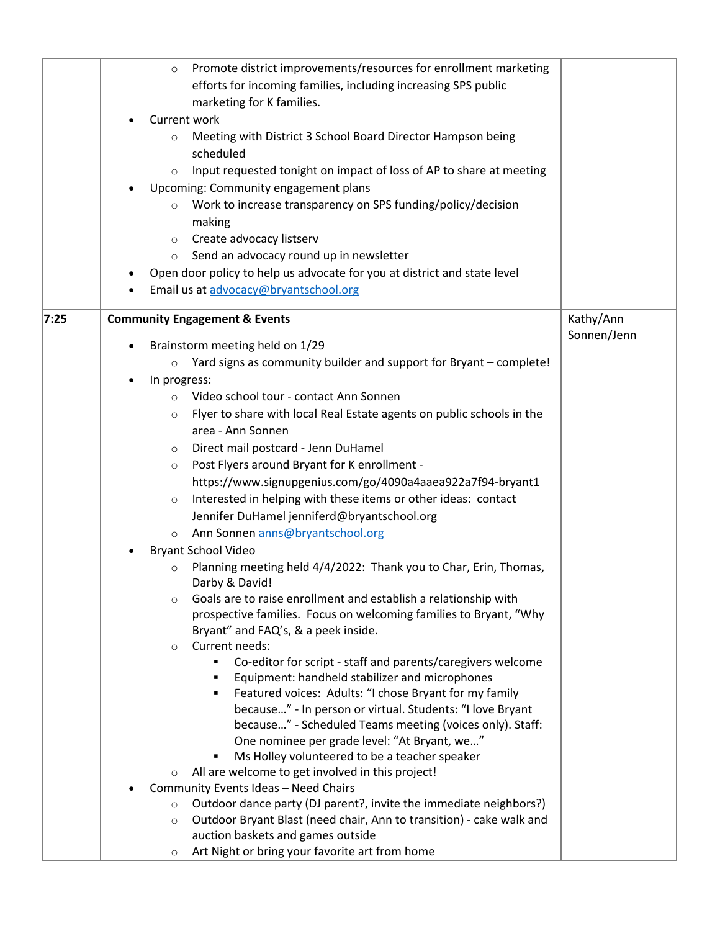|      | Promote district improvements/resources for enrollment marketing<br>$\circ$<br>efforts for incoming families, including increasing SPS public<br>marketing for K families.<br>Current work<br>Meeting with District 3 School Board Director Hampson being<br>$\circ$<br>scheduled<br>Input requested tonight on impact of loss of AP to share at meeting<br>$\circ$<br>Upcoming: Community engagement plans<br>Work to increase transparency on SPS funding/policy/decision<br>$\circ$<br>making<br>Create advocacy listserv<br>$\circ$<br>Send an advocacy round up in newsletter<br>$\circ$<br>Open door policy to help us advocate for you at district and state level<br>Email us at advocacy@bryantschool.org |             |
|------|--------------------------------------------------------------------------------------------------------------------------------------------------------------------------------------------------------------------------------------------------------------------------------------------------------------------------------------------------------------------------------------------------------------------------------------------------------------------------------------------------------------------------------------------------------------------------------------------------------------------------------------------------------------------------------------------------------------------|-------------|
| 7:25 | <b>Community Engagement &amp; Events</b>                                                                                                                                                                                                                                                                                                                                                                                                                                                                                                                                                                                                                                                                           | Kathy/Ann   |
|      | Brainstorm meeting held on 1/29                                                                                                                                                                                                                                                                                                                                                                                                                                                                                                                                                                                                                                                                                    | Sonnen/Jenn |
|      | Yard signs as community builder and support for Bryant - complete!<br>$\circ$                                                                                                                                                                                                                                                                                                                                                                                                                                                                                                                                                                                                                                      |             |
|      | In progress:<br>$\bullet$                                                                                                                                                                                                                                                                                                                                                                                                                                                                                                                                                                                                                                                                                          |             |
|      | Video school tour - contact Ann Sonnen<br>$\circ$                                                                                                                                                                                                                                                                                                                                                                                                                                                                                                                                                                                                                                                                  |             |
|      | Flyer to share with local Real Estate agents on public schools in the<br>$\circ$                                                                                                                                                                                                                                                                                                                                                                                                                                                                                                                                                                                                                                   |             |
|      | area - Ann Sonnen                                                                                                                                                                                                                                                                                                                                                                                                                                                                                                                                                                                                                                                                                                  |             |
|      | Direct mail postcard - Jenn DuHamel<br>$\circ$                                                                                                                                                                                                                                                                                                                                                                                                                                                                                                                                                                                                                                                                     |             |
|      | Post Flyers around Bryant for K enrollment -<br>$\circ$                                                                                                                                                                                                                                                                                                                                                                                                                                                                                                                                                                                                                                                            |             |
|      | https://www.signupgenius.com/go/4090a4aaea922a7f94-bryant1                                                                                                                                                                                                                                                                                                                                                                                                                                                                                                                                                                                                                                                         |             |
|      | Interested in helping with these items or other ideas: contact<br>$\circ$                                                                                                                                                                                                                                                                                                                                                                                                                                                                                                                                                                                                                                          |             |
|      | Jennifer DuHamel jenniferd@bryantschool.org                                                                                                                                                                                                                                                                                                                                                                                                                                                                                                                                                                                                                                                                        |             |
|      | Ann Sonnen anns@bryantschool.org<br>$\circ$                                                                                                                                                                                                                                                                                                                                                                                                                                                                                                                                                                                                                                                                        |             |
|      | <b>Bryant School Video</b>                                                                                                                                                                                                                                                                                                                                                                                                                                                                                                                                                                                                                                                                                         |             |
|      | Planning meeting held 4/4/2022: Thank you to Char, Erin, Thomas,<br>$\circ$<br>Darby & David!                                                                                                                                                                                                                                                                                                                                                                                                                                                                                                                                                                                                                      |             |
|      | Goals are to raise enrollment and establish a relationship with<br>$\circ$<br>prospective families. Focus on welcoming families to Bryant, "Why                                                                                                                                                                                                                                                                                                                                                                                                                                                                                                                                                                    |             |
|      | Bryant" and FAQ's, & a peek inside.                                                                                                                                                                                                                                                                                                                                                                                                                                                                                                                                                                                                                                                                                |             |
|      | Current needs:<br>$\circ$                                                                                                                                                                                                                                                                                                                                                                                                                                                                                                                                                                                                                                                                                          |             |
|      | Co-editor for script - staff and parents/caregivers welcome                                                                                                                                                                                                                                                                                                                                                                                                                                                                                                                                                                                                                                                        |             |
|      | Equipment: handheld stabilizer and microphones                                                                                                                                                                                                                                                                                                                                                                                                                                                                                                                                                                                                                                                                     |             |
|      | Featured voices: Adults: "I chose Bryant for my family                                                                                                                                                                                                                                                                                                                                                                                                                                                                                                                                                                                                                                                             |             |
|      | because" - In person or virtual. Students: "I love Bryant<br>because" - Scheduled Teams meeting (voices only). Staff:                                                                                                                                                                                                                                                                                                                                                                                                                                                                                                                                                                                              |             |
|      | One nominee per grade level: "At Bryant, we"                                                                                                                                                                                                                                                                                                                                                                                                                                                                                                                                                                                                                                                                       |             |
|      | Ms Holley volunteered to be a teacher speaker<br>Ξ                                                                                                                                                                                                                                                                                                                                                                                                                                                                                                                                                                                                                                                                 |             |
|      | All are welcome to get involved in this project!<br>$\circ$                                                                                                                                                                                                                                                                                                                                                                                                                                                                                                                                                                                                                                                        |             |
|      | Community Events Ideas - Need Chairs                                                                                                                                                                                                                                                                                                                                                                                                                                                                                                                                                                                                                                                                               |             |
|      | Outdoor dance party (DJ parent?, invite the immediate neighbors?)<br>$\circ$                                                                                                                                                                                                                                                                                                                                                                                                                                                                                                                                                                                                                                       |             |
|      | Outdoor Bryant Blast (need chair, Ann to transition) - cake walk and<br>$\circ$                                                                                                                                                                                                                                                                                                                                                                                                                                                                                                                                                                                                                                    |             |
|      | auction baskets and games outside                                                                                                                                                                                                                                                                                                                                                                                                                                                                                                                                                                                                                                                                                  |             |
|      | Art Night or bring your favorite art from home<br>$\circ$                                                                                                                                                                                                                                                                                                                                                                                                                                                                                                                                                                                                                                                          |             |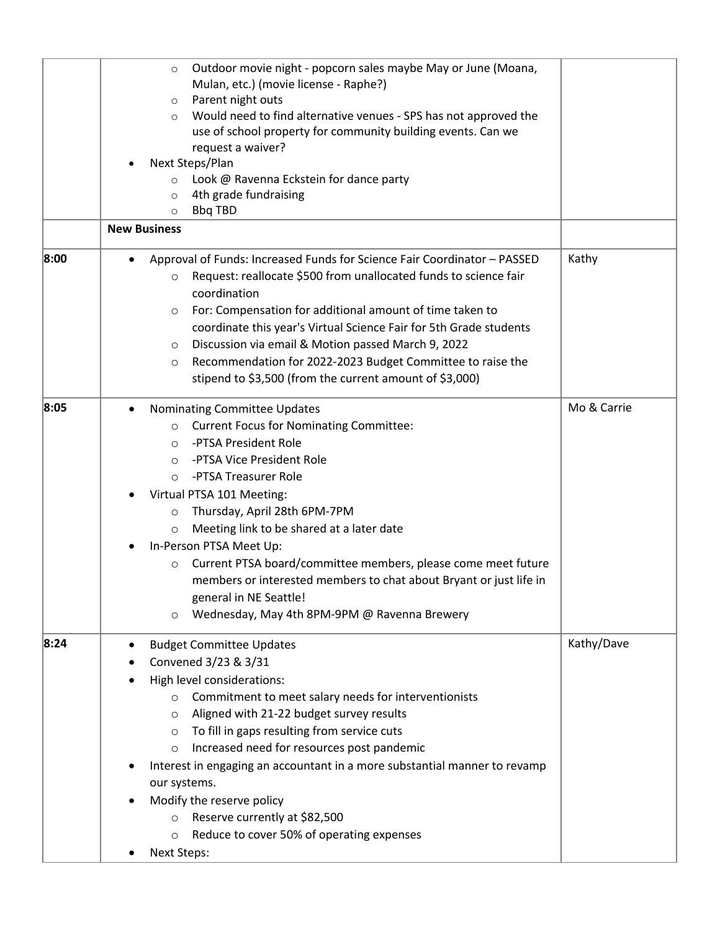|      | Outdoor movie night - popcorn sales maybe May or June (Moana,<br>$\circ$<br>Mulan, etc.) (movie license - Raphe?)<br>Parent night outs<br>$\circ$<br>Would need to find alternative venues - SPS has not approved the<br>$\circ$<br>use of school property for community building events. Can we<br>request a waiver?<br>Next Steps/Plan<br>Look @ Ravenna Eckstein for dance party<br>$\circ$<br>4th grade fundraising<br>$\circ$<br><b>Bbq TBD</b><br>$\circ$<br><b>New Business</b>                                                                                                                                 |             |
|------|------------------------------------------------------------------------------------------------------------------------------------------------------------------------------------------------------------------------------------------------------------------------------------------------------------------------------------------------------------------------------------------------------------------------------------------------------------------------------------------------------------------------------------------------------------------------------------------------------------------------|-------------|
|      |                                                                                                                                                                                                                                                                                                                                                                                                                                                                                                                                                                                                                        |             |
| 8:00 | Approval of Funds: Increased Funds for Science Fair Coordinator - PASSED<br>Request: reallocate \$500 from unallocated funds to science fair<br>$\circ$<br>coordination<br>For: Compensation for additional amount of time taken to<br>$\circ$<br>coordinate this year's Virtual Science Fair for 5th Grade students<br>Discussion via email & Motion passed March 9, 2022<br>$\circ$<br>Recommendation for 2022-2023 Budget Committee to raise the<br>$\circ$<br>stipend to \$3,500 (from the current amount of \$3,000)                                                                                              | Kathy       |
| 8:05 | Nominating Committee Updates<br>$\bullet$<br><b>Current Focus for Nominating Committee:</b><br>$\circ$<br>-PTSA President Role<br>$\circ$<br>-PTSA Vice President Role<br>$\circ$<br>-PTSA Treasurer Role<br>$\circ$<br>Virtual PTSA 101 Meeting:<br>Thursday, April 28th 6PM-7PM<br>$\circ$<br>Meeting link to be shared at a later date<br>$\circ$<br>In-Person PTSA Meet Up:<br>Current PTSA board/committee members, please come meet future<br>$\circ$<br>members or interested members to chat about Bryant or just life in<br>general in NE Seattle!<br>Wednesday, May 4th 8PM-9PM @ Ravenna Brewery<br>$\circ$ | Mo & Carrie |
| 8:24 | <b>Budget Committee Updates</b><br>Convened 3/23 & 3/31<br>High level considerations:<br>Commitment to meet salary needs for interventionists<br>$\circ$<br>Aligned with 21-22 budget survey results<br>$\circ$<br>To fill in gaps resulting from service cuts<br>$\circ$<br>Increased need for resources post pandemic<br>$\circ$<br>Interest in engaging an accountant in a more substantial manner to revamp<br>our systems.<br>Modify the reserve policy<br>Reserve currently at \$82,500<br>$\circ$<br>Reduce to cover 50% of operating expenses<br>$\circ$<br>Next Steps:                                        | Kathy/Dave  |